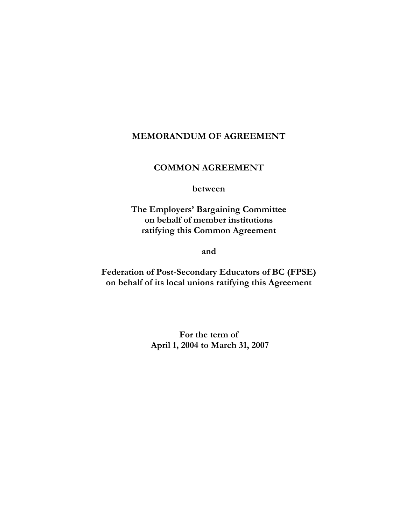# **MEMORANDUM OF AGREEMENT**

# **COMMON AGREEMENT**

**between** 

**The Employers' Bargaining Committee on behalf of member institutions ratifying this Common Agreement** 

**and** 

**Federation of Post-Secondary Educators of BC (FPSE) on behalf of its local unions ratifying this Agreement** 

> **For the term of April 1, 2004 to March 31, 2007**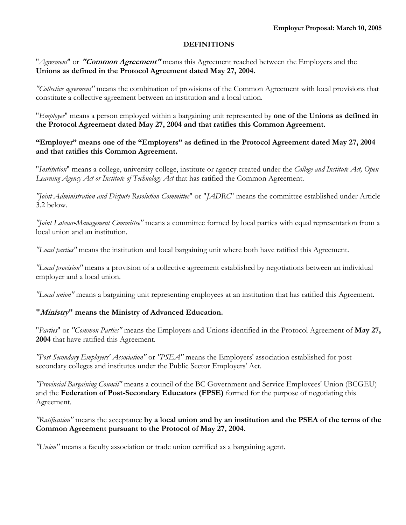#### **DEFINITIONS**

"*Agreement*" or **"Common Agreement"** means this Agreement reached between the Employers and the **Unions as defined in the Protocol Agreement dated May 27, 2004.** 

*"Collective agreement"* means the combination of provisions of the Common Agreement with local provisions that constitute a collective agreement between an institution and a local union.

"*Employee*" means a person employed within a bargaining unit represented by **one of the Unions as defined in the Protocol Agreement dated May 27, 2004 and that ratifies this Common Agreement.** 

## **"Employer" means one of the "Employers" as defined in the Protocol Agreement dated May 27, 2004 and that ratifies this Common Agreement.**

"*Institution*" means a college, university college, institute or agency created under the *College and Institute Act, Open Learning Agency Act or Institute of Technology Act* that has ratified the Common Agreement.

*"Joint Administration and Dispute Resolution Committee*" or "*JADRC*" means the committee established under Article 3.2 below.

*"Joint Labour-Management Committee"* means a committee formed by local parties with equal representation from a local union and an institution.

*"Local parties"* means the institution and local bargaining unit where both have ratified this Agreement.

*"Local provision"* means a provision of a collective agreement established by negotiations between an individual employer and a local union.

*"Local union"* means a bargaining unit representing employees at an institution that has ratified this Agreement.

### **"Ministry" means the Ministry of Advanced Education.**

"*Parties*" or *"Common Parties"* means the Employers and Unions identified in the Protocol Agreement of **May 27, 2004** that have ratified this Agreement.

*"Post-Secondary Employers' Association"* or *"PSEA"* means the Employers' association established for postsecondary colleges and institutes under the Public Sector Employers' Act.

*"Provincial Bargaining Council"* means a council of the BC Government and Service Employees' Union (BCGEU) and the **Federation of Post-Secondary Educators (FPSE)** formed for the purpose of negotiating this Agreement.

*"Ratification"* means the acceptance **by a local union and by an institution and the PSEA of the terms of the Common Agreement pursuant to the Protocol of May 27, 2004.** 

*"Union"* means a faculty association or trade union certified as a bargaining agent.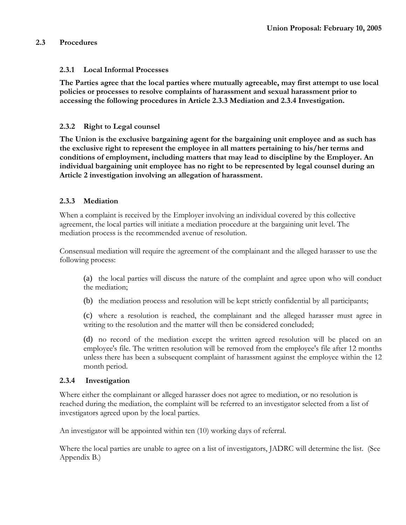## **2.3 Procedures**

## **2.3.1 Local Informal Processes**

**The Parties agree that the local parties where mutually agreeable, may first attempt to use local policies or processes to resolve complaints of harassment and sexual harassment prior to accessing the following procedures in Article 2.3.3 Mediation and 2.3.4 Investigation.** 

## **2.3.2 Right to Legal counsel**

**The Union is the exclusive bargaining agent for the bargaining unit employee and as such has the exclusive right to represent the employee in all matters pertaining to his/her terms and conditions of employment, including matters that may lead to discipline by the Employer. An individual bargaining unit employee has no right to be represented by legal counsel during an Article 2 investigation involving an allegation of harassment.** 

## **2.3.3 Mediation**

When a complaint is received by the Employer involving an individual covered by this collective agreement, the local parties will initiate a mediation procedure at the bargaining unit level. The mediation process is the recommended avenue of resolution.

Consensual mediation will require the agreement of the complainant and the alleged harasser to use the following process:

(a) the local parties will discuss the nature of the complaint and agree upon who will conduct the mediation;

(b) the mediation process and resolution will be kept strictly confidential by all participants;

(c) where a resolution is reached, the complainant and the alleged harasser must agree in writing to the resolution and the matter will then be considered concluded;

(d) no record of the mediation except the written agreed resolution will be placed on an employee's file. The written resolution will be removed from the employee's file after 12 months unless there has been a subsequent complaint of harassment against the employee within the 12 month period.

### **2.3.4 Investigation**

Where either the complainant or alleged harasser does not agree to mediation, or no resolution is reached during the mediation, the complaint will be referred to an investigator selected from a list of investigators agreed upon by the local parties.

An investigator will be appointed within ten (10) working days of referral.

Where the local parties are unable to agree on a list of investigators, JADRC will determine the list. (See Appendix B.)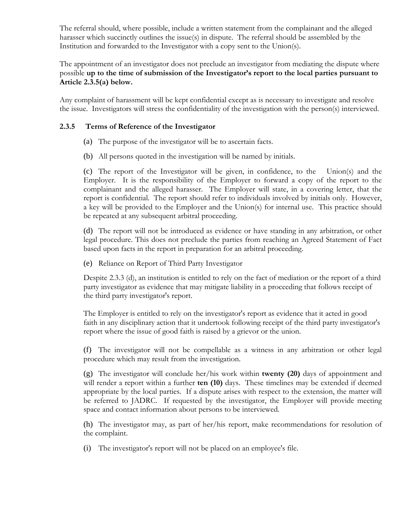The referral should, where possible, include a written statement from the complainant and the alleged harasser which succinctly outlines the issue(s) in dispute. The referral should be assembled by the Institution and forwarded to the Investigator with a copy sent to the Union(s).

The appointment of an investigator does not preclude an investigator from mediating the dispute where possible **up to the time of submission of the Investigator's report to the local parties pursuant to Article 2.3.5(a) below.** 

Any complaint of harassment will be kept confidential except as is necessary to investigate and resolve the issue. Investigators will stress the confidentiality of the investigation with the person(s) interviewed.

## **2.3.5 Terms of Reference of the Investigator**

- (a) The purpose of the investigator will be to ascertain facts.
- (b) All persons quoted in the investigation will be named by initials.

(c) The report of the Investigator will be given, in confidence, to the Union(s) and the Employer. It is the responsibility of the Employer to forward a copy of the report to the complainant and the alleged harasser. The Employer will state, in a covering letter, that the report is confidential. The report should refer to individuals involved by initials only. However, a key will be provided to the Employer and the Union(s) for internal use. This practice should be repeated at any subsequent arbitral proceeding.

(d) The report will not be introduced as evidence or have standing in any arbitration, or other legal procedure. This does not preclude the parties from reaching an Agreed Statement of Fact based upon facts in the report in preparation for an arbitral proceeding.

(e) Reliance on Report of Third Party Investigator

Despite 2.3.3 (d), an institution is entitled to rely on the fact of mediation or the report of a third party investigator as evidence that may mitigate liability in a proceeding that follows receipt of the third party investigator's report.

The Employer is entitled to rely on the investigator's report as evidence that it acted in good faith in any disciplinary action that it undertook following receipt of the third party investigator's report where the issue of good faith is raised by a grievor or the union.

(f) The investigator will not be compellable as a witness in any arbitration or other legal procedure which may result from the investigation.

(g) The investigator will conclude her/his work within **twenty (20)** days of appointment and will render a report within a further **ten (10)** days. These timelines may be extended if deemed appropriate by the local parties. If a dispute arises with respect to the extension, the matter will be referred to JADRC. If requested by the investigator, the Employer will provide meeting space and contact information about persons to be interviewed.

(h) The investigator may, as part of her/his report, make recommendations for resolution of the complaint.

(i) The investigator's report will not be placed on an employee's file.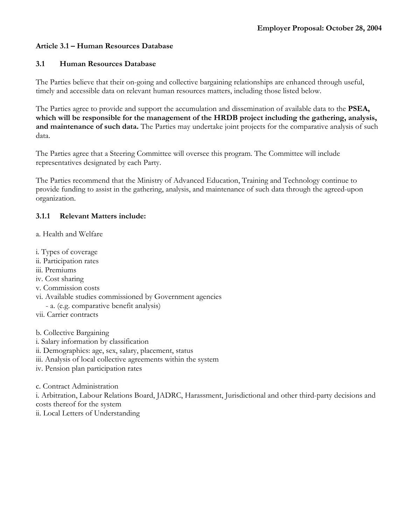## **Article 3.1 – Human Resources Database**

### **3.1 Human Resources Database**

The Parties believe that their on-going and collective bargaining relationships are enhanced through useful, timely and accessible data on relevant human resources matters, including those listed below.

The Parties agree to provide and support the accumulation and dissemination of available data to the **PSEA, which will be responsible for the management of the HRDB project including the gathering, analysis, and maintenance of such data.** The Parties may undertake joint projects for the comparative analysis of such data.

The Parties agree that a Steering Committee will oversee this program. The Committee will include representatives designated by each Party.

The Parties recommend that the Ministry of Advanced Education, Training and Technology continue to provide funding to assist in the gathering, analysis, and maintenance of such data through the agreed-upon organization.

### **3.1.1 Relevant Matters include:**

- a. Health and Welfare
- i. Types of coverage
- ii. Participation rates
- iii. Premiums
- iv. Cost sharing
- v. Commission costs
- vi. Available studies commissioned by Government agencies
- a. (e.g. comparative benefit analysis)
- vii. Carrier contracts

b. Collective Bargaining

- i. Salary information by classification
- ii. Demographics: age, sex, salary, placement, status
- iii. Analysis of local collective agreements within the system
- iv. Pension plan participation rates

c. Contract Administration i. Arbitration, Labour Relations Board, JADRC, Harassment, Jurisdictional and other third-party decisions and costs thereof for the system ii. Local Letters of Understanding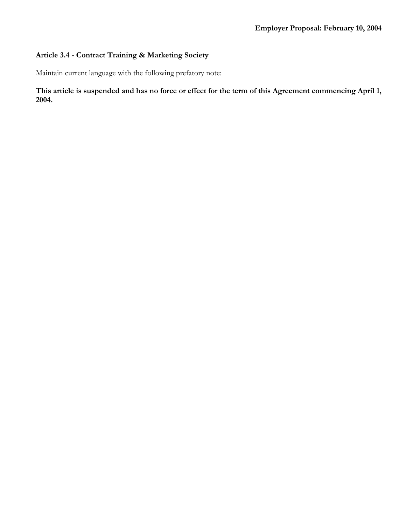# **Article 3.4 - Contract Training & Marketing Society**

Maintain current language with the following prefatory note:

**This article is suspended and has no force or effect for the term of this Agreement commencing April 1, 2004.**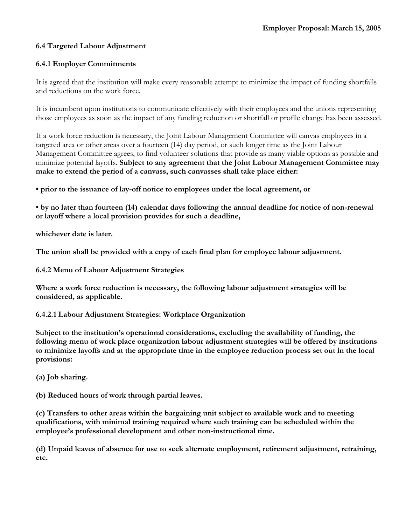## **6.4 Targeted Labour Adjustment**

## **6.4.1 Employer Commitments**

It is agreed that the institution will make every reasonable attempt to minimize the impact of funding shortfalls and reductions on the work force.

It is incumbent upon institutions to communicate effectively with their employees and the unions representing those employees as soon as the impact of any funding reduction or shortfall or profile change has been assessed.

If a work force reduction is necessary, the Joint Labour Management Committee will canvas employees in a targeted area or other areas over a fourteen (14) day period, or such longer time as the Joint Labour Management Committee agrees, to find volunteer solutions that provide as many viable options as possible and minimize potential layoffs. **Subject to any agreement that the Joint Labour Management Committee may make to extend the period of a canvass, such canvasses shall take place either:** 

**• prior to the issuance of lay-off notice to employees under the local agreement, or** 

**• by no later than fourteen (14) calendar days following the annual deadline for notice of non-renewal or layoff where a local provision provides for such a deadline,** 

**whichever date is later.** 

**The union shall be provided with a copy of each final plan for employee labour adjustment.**

**6.4.2 Menu of Labour Adjustment Strategies**

**Where a work force reduction is necessary, the following labour adjustment strategies will be considered, as applicable.**

**6.4.2.1 Labour Adjustment Strategies: Workplace Organization**

**Subject to the institution's operational considerations, excluding the availability of funding, the following menu of work place organization labour adjustment strategies will be offered by institutions to minimize layoffs and at the appropriate time in the employee reduction process set out in the local provisions:**

**(a) Job sharing.** 

**(b) Reduced hours of work through partial leaves.** 

**(c) Transfers to other areas within the bargaining unit subject to available work and to meeting qualifications, with minimal training required where such training can be scheduled within the employee's professional development and other non-instructional time.** 

**(d) Unpaid leaves of absence for use to seek alternate employment, retirement adjustment, retraining, etc.**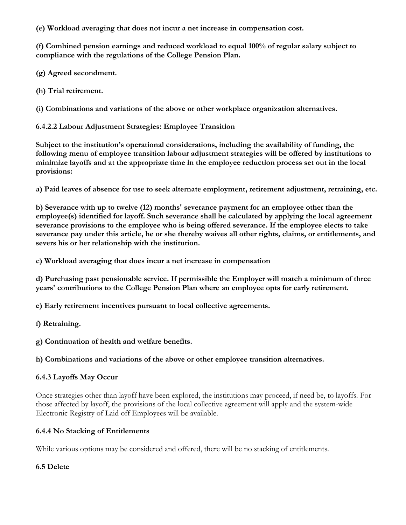**(e) Workload averaging that does not incur a net increase in compensation cost.** 

**(f) Combined pension earnings and reduced workload to equal 100% of regular salary subject to compliance with the regulations of the College Pension Plan.** 

**(g) Agreed secondment.** 

**(h) Trial retirement.** 

**(i) Combinations and variations of the above or other workplace organization alternatives.**

**6.4.2.2 Labour Adjustment Strategies: Employee Transition**

**Subject to the institution's operational considerations, including the availability of funding, the following menu of employee transition labour adjustment strategies will be offered by institutions to minimize layoffs and at the appropriate time in the employee reduction process set out in the local provisions:** 

**a) Paid leaves of absence for use to seek alternate employment, retirement adjustment, retraining, etc.** 

**b) Severance with up to twelve (12) months' severance payment for an employee other than the employee(s) identified for layoff. Such severance shall be calculated by applying the local agreement severance provisions to the employee who is being offered severance. If the employee elects to take severance pay under this article, he or she thereby waives all other rights, claims, or entitlements, and severs his or her relationship with the institution.** 

**c) Workload averaging that does incur a net increase in compensation** 

**d) Purchasing past pensionable service. If permissible the Employer will match a minimum of three years' contributions to the College Pension Plan where an employee opts for early retirement.** 

**e) Early retirement incentives pursuant to local collective agreements.** 

**f) Retraining.** 

**g) Continuation of health and welfare benefits.** 

**h) Combinations and variations of the above or other employee transition alternatives.** 

### **6.4.3 Layoffs May Occur**

Once strategies other than layoff have been explored, the institutions may proceed, if need be, to layoffs. For those affected by layoff, the provisions of the local collective agreement will apply and the system-wide Electronic Registry of Laid off Employees will be available.

### **6.4.4 No Stacking of Entitlements**

While various options may be considered and offered, there will be no stacking of entitlements.

### **6.5 Delete**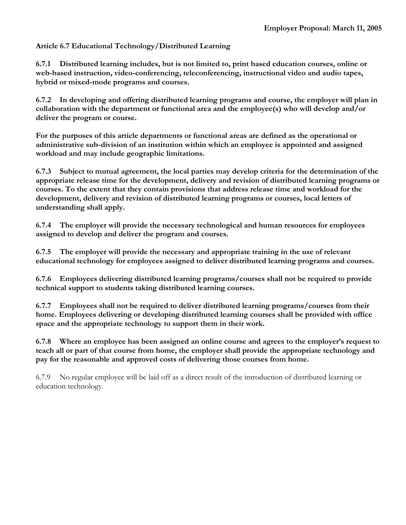## **Article 6.7 Educational Technology/Distributed Learning**

**6.7.1 Distributed learning includes, but is not limited to, print based education courses, online or web-based instruction, video-conferencing, teleconferencing, instructional video and audio tapes, hybrid or mixed-mode programs and courses.** 

**6.7.2 In developing and offering distributed learning programs and course, the employer will plan in collaboration with the department or functional area and the employee(s) who will develop and/or deliver the program or course.** 

**For the purposes of this article departments or functional areas are defined as the operational or administrative sub-division of an institution within which an employee is appointed and assigned workload and may include geographic limitations.** 

**6.7.3 Subject to mutual agreement, the local parties may develop criteria for the determination of the appropriate release time for the development, delivery and revision of distributed learning programs or courses. To the extent that they contain provisions that address release time and workload for the development, delivery and revision of distributed learning programs or courses, local letters of understanding shall apply.** 

**6.7.4 The employer will provide the necessary technological and human resources for employees assigned to develop and deliver the program and courses.** 

**6.7.5 The employer will provide the necessary and appropriate training in the use of relevant educational technology for employees assigned to deliver distributed learning programs and courses.** 

**6.7.6 Employees delivering distributed learning programs/courses shall not be required to provide technical support to students taking distributed learning courses.** 

**6.7.7 Employees shall not be required to deliver distributed learning programs/courses from their home. Employees delivering or developing distributed learning courses shall be provided with office space and the appropriate technology to support them in their work.** 

**6.7.8 Where an employee has been assigned an online course and agrees to the employer's request to teach all or part of that course from home, the employer shall provide the appropriate technology and pay for the reasonable and approved costs of delivering those courses from home.**

6.7.9 No regular employee will be laid off as a direct result of the introduction of distributed learning or education technology.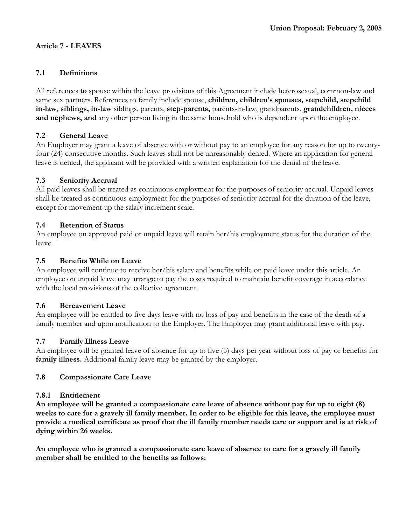## **Article 7 - LEAVES**

## **7.1 Definitions**

All references **to** spouse within the leave provisions of this Agreement include heterosexual, common-law and same sex partners. References to family include spouse, **children, children's spouses, stepchild, stepchild in-law, siblings, in-law** siblings, parents, **step-parents,** parents-in-law, grandparents, **grandchildren, nieces and nephews, and** any other person living in the same household who is dependent upon the employee.

## **7.2 General Leave**

An Employer may grant a leave of absence with or without pay to an employee for any reason for up to twentyfour (24) consecutive months. Such leaves shall not be unreasonably denied. Where an application for general leave is denied, the applicant will be provided with a written explanation for the denial of the leave.

## **7.3 Seniority Accrual**

All paid leaves shall be treated as continuous employment for the purposes of seniority accrual. Unpaid leaves shall be treated as continuous employment for the purposes of seniority accrual for the duration of the leave, except for movement up the salary increment scale.

## **7.4 Retention of Status**

An employee on approved paid or unpaid leave will retain her/his employment status for the duration of the leave.

## **7.5 Benefits While on Leave**

An employee will continue to receive her/his salary and benefits while on paid leave under this article. An employee on unpaid leave may arrange to pay the costs required to maintain benefit coverage in accordance with the local provisions of the collective agreement.

### **7.6 Bereavement Leave**

An employee will be entitled to five days leave with no loss of pay and benefits in the case of the death of a family member and upon notification to the Employer. The Employer may grant additional leave with pay.

### **7.7 Family Illness Leave**

An employee will be granted leave of absence for up to five (5) days per year without loss of pay or benefits for **family illness.** Additional family leave may be granted by the employer.

## **7.8 Compassionate Care Leave**

## **7.8.1 Entitlement**

**An employee will be granted a compassionate care leave of absence without pay for up to eight (8) weeks to care for a gravely ill family member. In order to be eligible for this leave, the employee must provide a medical certificate as proof that the ill family member needs care or support and is at risk of dying within 26 weeks.** 

**An employee who is granted a compassionate care leave of absence to care for a gravely ill family member shall be entitled to the benefits as follows:**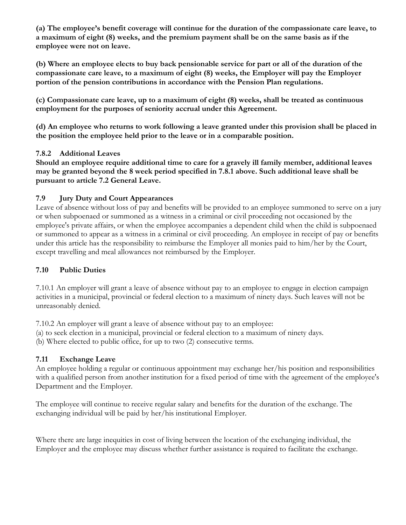**(a) The employee's benefit coverage will continue for the duration of the compassionate care leave, to a maximum of eight (8) weeks, and the premium payment shall be on the same basis as if the employee were not on leave.** 

**(b) Where an employee elects to buy back pensionable service for part or all of the duration of the compassionate care leave, to a maximum of eight (8) weeks, the Employer will pay the Employer portion of the pension contributions in accordance with the Pension Plan regulations.** 

**(c) Compassionate care leave, up to a maximum of eight (8) weeks, shall be treated as continuous employment for the purposes of seniority accrual under this Agreement.** 

**(d) An employee who returns to work following a leave granted under this provision shall be placed in the position the employee held prior to the leave or in a comparable position.** 

## **7.8.2 Additional Leaves**

**Should an employee require additional time to care for a gravely ill family member, additional leaves may be granted beyond the 8 week period specified in 7.8.1 above. Such additional leave shall be pursuant to article 7.2 General Leave.** 

# **7.9 Jury Duty and Court Appearances**

Leave of absence without loss of pay and benefits will be provided to an employee summoned to serve on a jury or when subpoenaed or summoned as a witness in a criminal or civil proceeding not occasioned by the employee's private affairs, or when the employee accompanies a dependent child when the child is subpoenaed or summoned to appear as a witness in a criminal or civil proceeding. An employee in receipt of pay or benefits under this article has the responsibility to reimburse the Employer all monies paid to him/her by the Court, except travelling and meal allowances not reimbursed by the Employer.

# **7.10 Public Duties**

7.10.1 An employer will grant a leave of absence without pay to an employee to engage in election campaign activities in a municipal, provincial or federal election to a maximum of ninety days. Such leaves will not be unreasonably denied.

7.10.2 An employer will grant a leave of absence without pay to an employee:

(a) to seek election in a municipal, provincial or federal election to a maximum of ninety days.

(b) Where elected to public office, for up to two (2) consecutive terms.

# **7.11 Exchange Leave**

An employee holding a regular or continuous appointment may exchange her/his position and responsibilities with a qualified person from another institution for a fixed period of time with the agreement of the employee's Department and the Employer.

The employee will continue to receive regular salary and benefits for the duration of the exchange. The exchanging individual will be paid by her/his institutional Employer.

Where there are large inequities in cost of living between the location of the exchanging individual, the Employer and the employee may discuss whether further assistance is required to facilitate the exchange.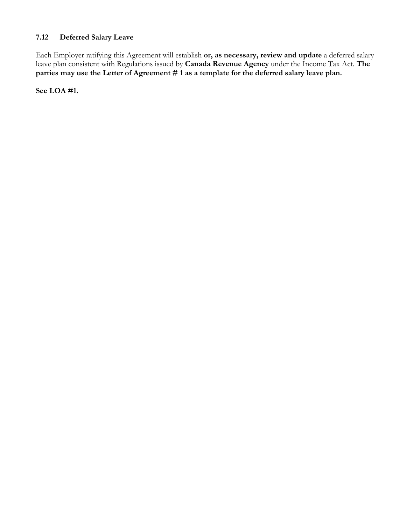# **7.12 Deferred Salary Leave**

Each Employer ratifying this Agreement will establish **or, as necessary, review and update** a deferred salary leave plan consistent with Regulations issued by **Canada Revenue Agency** under the Income Tax Act. **The**  parties may use the Letter of Agreement # 1 as a template for the deferred salary leave plan.

**See LOA #1.**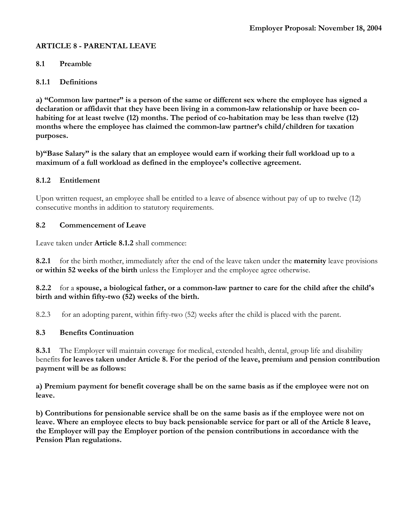## **ARTICLE 8 - PARENTAL LEAVE**

### **8.1 Preamble**

### **8.1.1 Definitions**

**a) "Common law partner" is a person of the same or different sex where the employee has signed a declaration or affidavit that they have been living in a common-law relationship or have been cohabiting for at least twelve (12) months. The period of co-habitation may be less than twelve (12) months where the employee has claimed the common-law partner's child/children for taxation purposes.** 

**b)"Base Salary" is the salary that an employee would earn if working their full workload up to a maximum of a full workload as defined in the employee's collective agreement.** 

#### **8.1.2 Entitlement**

Upon written request, an employee shall be entitled to a leave of absence without pay of up to twelve (12) consecutive months in addition to statutory requirements.

#### **8.2 Commencement of Leave**

Leave taken under **Article 8.1.2** shall commence:

**8.2.1** for the birth mother, immediately after the end of the leave taken under the **maternity** leave provisions **or within 52 weeks of the birth** unless the Employer and the employee agree otherwise.

### **8.2.2** for a **spouse, a biological father, or a common-law partner to care for the child after the child's birth and within fifty-two (52) weeks of the birth.**

8.2.3 for an adopting parent, within fifty-two (52) weeks after the child is placed with the parent.

### **8.3 Benefits Continuation**

**8.3.1** The Employer will maintain coverage for medical, extended health, dental, group life and disability benefits **for leaves taken under Article 8. For the period of the leave, premium and pension contribution payment will be as follows:** 

**a) Premium payment for benefit coverage shall be on the same basis as if the employee were not on leave.** 

**b) Contributions for pensionable service shall be on the same basis as if the employee were not on leave. Where an employee elects to buy back pensionable service for part or all of the Article 8 leave, the Employer will pay the Employer portion of the pension contributions in accordance with the Pension Plan regulations.**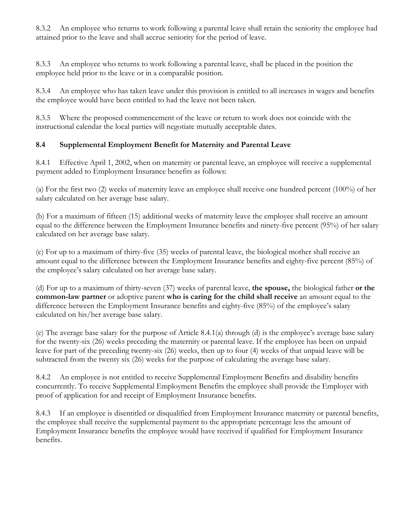8.3.2 An employee who returns to work following a parental leave shall retain the seniority the employee had attained prior to the leave and shall accrue seniority for the period of leave.

8.3.3 An employee who returns to work following a parental leave, shall be placed in the position the employee held prior to the leave or in a comparable position.

8.3.4 An employee who has taken leave under this provision is entitled to all increases in wages and benefits the employee would have been entitled to had the leave not been taken.

8.3.5 Where the proposed commencement of the leave or return to work does not coincide with the instructional calendar the local parties will negotiate mutually acceptable dates.

# **8.4 Supplemental Employment Benefit for Maternity and Parental Leave**

8.4.1 Effective April 1, 2002, when on maternity or parental leave, an employee will receive a supplemental payment added to Employment Insurance benefits as follows:

(a) For the first two (2) weeks of maternity leave an employee shall receive one hundred percent (100%) of her salary calculated on her average base salary.

(b) For a maximum of fifteen (15) additional weeks of maternity leave the employee shall receive an amount equal to the difference between the Employment Insurance benefits and ninety-five percent (95%) of her salary calculated on her average base salary.

(c) For up to a maximum of thirty-five (35) weeks of parental leave, the biological mother shall receive an amount equal to the difference between the Employment Insurance benefits and eighty-five percent (85%) of the employee's salary calculated on her average base salary.

(d) For up to a maximum of thirty-seven (37) weeks of parental leave, **the spouse,** the biological father **or the common-law partner** or adoptive parent **who is caring for the child shall receive** an amount equal to the difference between the Employment Insurance benefits and eighty-five (85%) of the employee's salary calculated on his/her average base salary.

(e) The average base salary for the purpose of Article 8.4.1(a) through (d) is the employee's average base salary for the twenty-six (26) weeks preceding the maternity or parental leave. If the employee has been on unpaid leave for part of the preceding twenty-six (26) weeks, then up to four (4) weeks of that unpaid leave will be subtracted from the twenty six (26) weeks for the purpose of calculating the average base salary.

8.4.2 An employee is not entitled to receive Supplemental Employment Benefits and disability benefits concurrently. To receive Supplemental Employment Benefits the employee shall provide the Employer with proof of application for and receipt of Employment Insurance benefits.

8.4.3 If an employee is disentitled or disqualified from Employment Insurance maternity or parental benefits, the employee shall receive the supplemental payment to the appropriate percentage less the amount of Employment Insurance benefits the employee would have received if qualified for Employment Insurance benefits.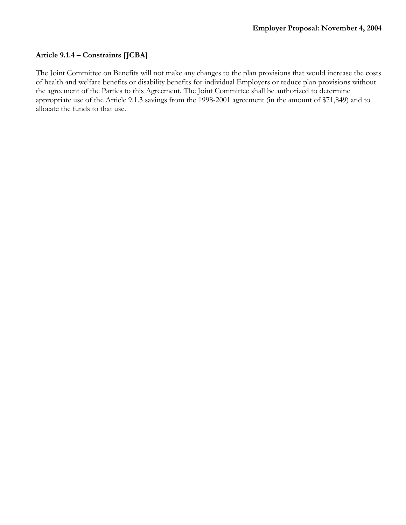## **Article 9.1.4 – Constraints [JCBA]**

The Joint Committee on Benefits will not make any changes to the plan provisions that would increase the costs of health and welfare benefits or disability benefits for individual Employers or reduce plan provisions without the agreement of the Parties to this Agreement. The Joint Committee shall be authorized to determine appropriate use of the Article 9.1.3 savings from the 1998-2001 agreement (in the amount of \$71,849) and to allocate the funds to that use.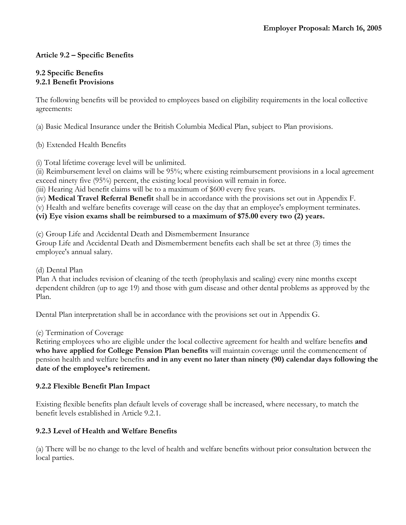# **Article 9.2 – Specific Benefits**

### **9.2 Specific Benefits 9.2.1 Benefit Provisions**

The following benefits will be provided to employees based on eligibility requirements in the local collective agreements:

(a) Basic Medical Insurance under the British Columbia Medical Plan, subject to Plan provisions.

(b) Extended Health Benefits

(i) Total lifetime coverage level will be unlimited.

(ii) Reimbursement level on claims will be 95%; where existing reimbursement provisions in a local agreement exceed ninety five (95%) percent, the existing local provision will remain in force.

(iii) Hearing Aid benefit claims will be to a maximum of \$600 every five years.

(iv) **Medical Travel Referral Benefit** shall be in accordance with the provisions set out in Appendix F.

(v) Health and welfare benefits coverage will cease on the day that an employee's employment terminates.

**(vi) Eye vision exams shall be reimbursed to a maximum of \$75.00 every two (2) years.**

(c) Group Life and Accidental Death and Dismemberment Insurance

Group Life and Accidental Death and Dismemberment benefits each shall be set at three (3) times the employee's annual salary.

(d) Dental Plan

Plan A that includes revision of cleaning of the teeth (prophylaxis and scaling) every nine months except dependent children (up to age 19) and those with gum disease and other dental problems as approved by the Plan.

Dental Plan interpretation shall be in accordance with the provisions set out in Appendix G.

(e) Termination of Coverage

Retiring employees who are eligible under the local collective agreement for health and welfare benefits **and who have applied for College Pension Plan benefits** will maintain coverage until the commencement of pension health and welfare benefits **and in any event no later than ninety (90) calendar days following the date of the employee's retirement.** 

## **9.2.2 Flexible Benefit Plan Impact**

Existing flexible benefits plan default levels of coverage shall be increased, where necessary, to match the benefit levels established in Article 9.2.1.

## **9.2.3 Level of Health and Welfare Benefits**

(a) There will be no change to the level of health and welfare benefits without prior consultation between the local parties.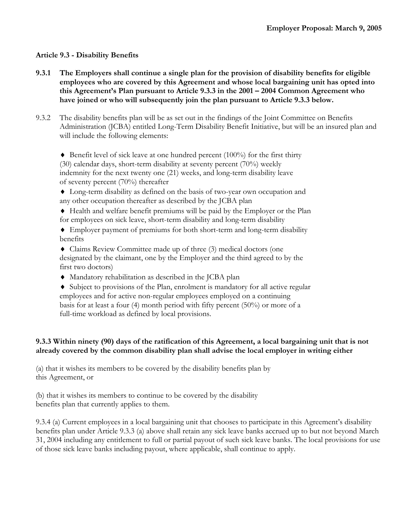## **Article 9.3 - Disability Benefits**

- **9.3.1 The Employers shall continue a single plan for the provision of disability benefits for eligible employees who are covered by this Agreement and whose local bargaining unit has opted into this Agreement's Plan pursuant to Article 9.3.3 in the 2001 – 2004 Common Agreement who have joined or who will subsequently join the plan pursuant to Article 9.3.3 below.**
- 9.3.2 The disability benefits plan will be as set out in the findings of the Joint Committee on Benefits Administration (JCBA) entitled Long-Term Disability Benefit Initiative, but will be an insured plan and will include the following elements:

 $\blacklozenge$  Benefit level of sick leave at one hundred percent (100%) for the first thirty (30) calendar days, short-term disability at seventy percent (70%) weekly indemnity for the next twenty one (21) weeks, and long-term disability leave of seventy percent (70%) thereafter

- ♦ Long-term disability as defined on the basis of two-year own occupation and any other occupation thereafter as described by the JCBA plan
- ♦ Health and welfare benefit premiums will be paid by the Employer or the Plan for employees on sick leave, short-term disability and long-term disability
- ♦ Employer payment of premiums for both short-term and long-term disability benefits
- ♦ Claims Review Committee made up of three (3) medical doctors (one designated by the claimant, one by the Employer and the third agreed to by the first two doctors)
- ♦ Mandatory rehabilitation as described in the JCBA plan
- ♦ Subject to provisions of the Plan, enrolment is mandatory for all active regular employees and for active non-regular employees employed on a continuing basis for at least a four (4) month period with fifty percent (50%) or more of a full-time workload as defined by local provisions.

### **9.3.3 Within ninety (90) days of the ratification of this Agreement, a local bargaining unit that is not already covered by the common disability plan shall advise the local employer in writing either**

(a) that it wishes its members to be covered by the disability benefits plan by this Agreement, or

(b) that it wishes its members to continue to be covered by the disability benefits plan that currently applies to them.

9.3.4 (a) Current employees in a local bargaining unit that chooses to participate in this Agreement's disability benefits plan under Article 9.3.3 (a) above shall retain any sick leave banks accrued up to but not beyond March 31, 2004 including any entitlement to full or partial payout of such sick leave banks. The local provisions for use of those sick leave banks including payout, where applicable, shall continue to apply.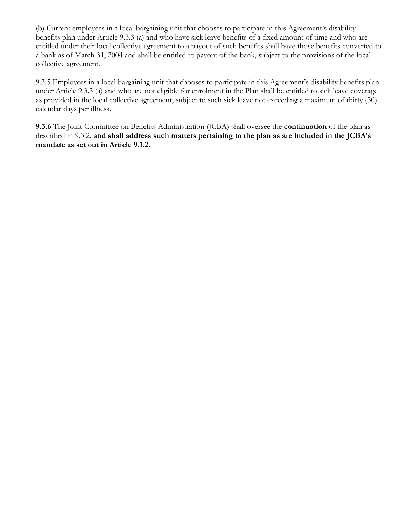(b) Current employees in a local bargaining unit that chooses to participate in this Agreement's disability benefits plan under Article 9.3.3 (a) and who have sick leave benefits of a fixed amount of time and who are entitled under their local collective agreement to a payout of such benefits shall have those benefits converted to a bank as of March 31, 2004 and shall be entitled to payout of the bank, subject to the provisions of the local collective agreement.

9.3.5 Employees in a local bargaining unit that chooses to participate in this Agreement's disability benefits plan under Article 9.3.3 (a) and who are not eligible for enrolment in the Plan shall be entitled to sick leave coverage as provided in the local collective agreement, subject to such sick leave not exceeding a maximum of thirty (30) calendar days per illness.

**9.3.6** The Joint Committee on Benefits Administration (JCBA) shall oversee the **continuation** of the plan as described in 9.3.2. **and shall address such matters pertaining to the plan as are included in the JCBA's mandate as set out in Article 9.1.2.**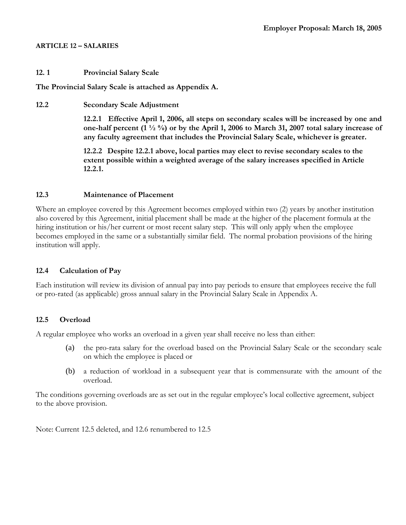#### **ARTICLE 12 – SALARIES**

#### **12. 1 Provincial Salary Scale**

**The Provincial Salary Scale is attached as Appendix A.** 

**12.2 Secondary Scale Adjustment** 

**12.2.1 Effective April 1, 2006, all steps on secondary scales will be increased by one and one-half percent (1 ½ %) or by the April 1, 2006 to March 31, 2007 total salary increase of any faculty agreement that includes the Provincial Salary Scale, whichever is greater.** 

**12.2.2 Despite 12.2.1 above, local parties may elect to revise secondary scales to the extent possible within a weighted average of the salary increases specified in Article 12.2.1.** 

#### **12.3 Maintenance of Placement**

Where an employee covered by this Agreement becomes employed within two (2) years by another institution also covered by this Agreement, initial placement shall be made at the higher of the placement formula at the hiring institution or his/her current or most recent salary step. This will only apply when the employee becomes employed in the same or a substantially similar field. The normal probation provisions of the hiring institution will apply.

### **12.4 Calculation of Pay**

Each institution will review its division of annual pay into pay periods to ensure that employees receive the full or pro-rated (as applicable) gross annual salary in the Provincial Salary Scale in Appendix A.

### **12.5 Overload**

A regular employee who works an overload in a given year shall receive no less than either:

- (a) the pro-rata salary for the overload based on the Provincial Salary Scale or the secondary scale on which the employee is placed or
- (b) a reduction of workload in a subsequent year that is commensurate with the amount of the overload.

The conditions governing overloads are as set out in the regular employee's local collective agreement, subject to the above provision.

Note: Current 12.5 deleted, and 12.6 renumbered to 12.5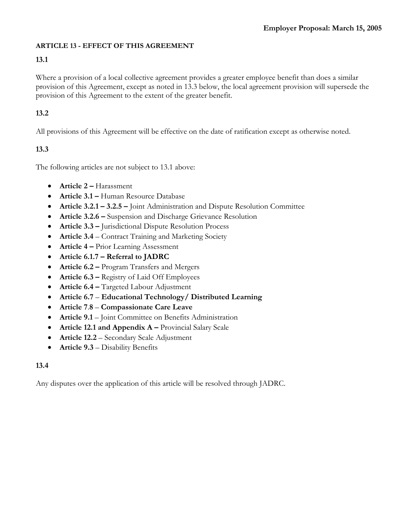## **ARTICLE 13 - EFFECT OF THIS AGREEMENT**

# **13.1**

Where a provision of a local collective agreement provides a greater employee benefit than does a similar provision of this Agreement, except as noted in 13.3 below, the local agreement provision will supersede the provision of this Agreement to the extent of the greater benefit.

# **13.2**

All provisions of this Agreement will be effective on the date of ratification except as otherwise noted.

# **13.3**

The following articles are not subject to 13.1 above:

- **Article 2** Harassment
- **Article 3.1** Human Resource Database
- **Article 3.2.1 3.2.5** Joint Administration and Dispute Resolution Committee
- **Article 3.2.6** Suspension and Discharge Grievance Resolution
- **Article 3.3** Jurisdictional Dispute Resolution Process
- **Article 3.4**  Contract Training and Marketing Society
- **Article 4** Prior Learning Assessment
- **Article 6.1.7 Referral to JADRC**
- **Article 6.2** Program Transfers and Mergers
- **Article 6.3 Registry of Laid Off Employees**
- **Article 6.4** Targeted Labour Adjustment
- **Article 6.7 Educational Technology/ Distributed Learning**
- **Article 7**.**8 Compassionate Care Leave**
- **Article 9.1**  Joint Committee on Benefits Administration
- **Article 12.1 and Appendix A** Provincial Salary Scale
- **Article 12.2**  Secondary Scale Adjustment
- **Article 9.3** Disability Benefits

# **13.4**

Any disputes over the application of this article will be resolved through JADRC.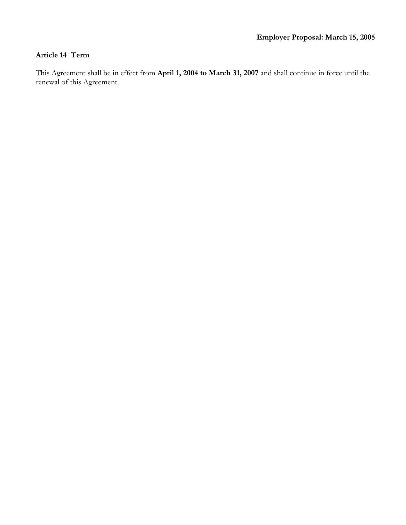## **Article 14 Term**

This Agreement shall be in effect from **April 1, 2004 to March 31, 2007** and shall continue in force until the renewal of this Agreement.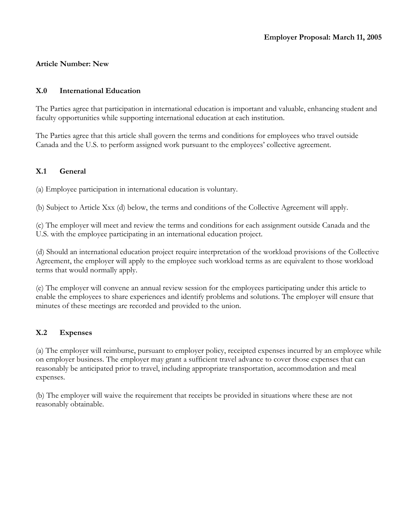## **Article Number: New**

#### **X.0 International Education**

The Parties agree that participation in international education is important and valuable, enhancing student and faculty opportunities while supporting international education at each institution.

The Parties agree that this article shall govern the terms and conditions for employees who travel outside Canada and the U.S. to perform assigned work pursuant to the employees' collective agreement.

## **X.1 General**

(a) Employee participation in international education is voluntary.

(b) Subject to Article Xxx (d) below, the terms and conditions of the Collective Agreement will apply.

(c) The employer will meet and review the terms and conditions for each assignment outside Canada and the U.S. with the employee participating in an international education project.

(d) Should an international education project require interpretation of the workload provisions of the Collective Agreement, the employer will apply to the employee such workload terms as are equivalent to those workload terms that would normally apply.

(e) The employer will convene an annual review session for the employees participating under this article to enable the employees to share experiences and identify problems and solutions. The employer will ensure that minutes of these meetings are recorded and provided to the union.

#### **X.2 Expenses**

(a) The employer will reimburse, pursuant to employer policy, receipted expenses incurred by an employee while on employer business. The employer may grant a sufficient travel advance to cover those expenses that can reasonably be anticipated prior to travel, including appropriate transportation, accommodation and meal expenses.

(b) The employer will waive the requirement that receipts be provided in situations where these are not reasonably obtainable.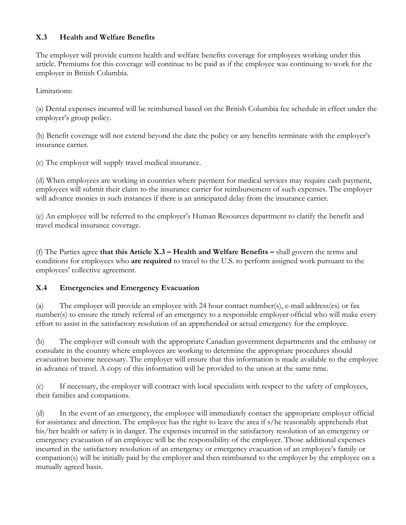## **X.3 Health and Welfare Benefits**

The employer will provide current health and welfare benefits coverage for employees working under this article. Premiums for this coverage will continue to be paid as if the employee was continuing to work for the employer in British Columbia.

Limitations:

(a) Dental expenses incurred will be reimbursed based on the British Columbia fee schedule in effect under the employer's group policy.

(b) Benefit coverage will not extend beyond the date the policy or any benefits terminate with the employer's insurance carrier.

(c) The employer will supply travel medical insurance.

(d) When employees are working in countries where payment for medical services may require cash payment, employees will submit their claim to the insurance carrier for reimbursement of such expenses. The employer will advance monies in such instances if there is an anticipated delay from the insurance carrier.

(e) An employee will be referred to the employer's Human Resources department to clarify the benefit and travel medical insurance coverage.

(f) The Parties agree **that this Article X.3 – Health and Welfare Benefits –** shall govern the terms and conditions for employees who **are required** to travel to the U.S. to perform assigned work pursuant to the employees' collective agreement.

## **X.4 Emergencies and Emergency Evacuation**

(a) The employer will provide an employee with 24 hour contact number(s), e-mail address(es) or fax number(s) to ensure the timely referral of an emergency to a responsible employer official who will make every effort to assist in the satisfactory resolution of an apprehended or actual emergency for the employee.

(b) The employer will consult with the appropriate Canadian government departments and the embassy or consulate in the country where employees are working to determine the appropriate procedures should evacuation become necessary. The employer will ensure that this information is made available to the employee in advance of travel. A copy of this information will be provided to the union at the same time.

(c) If necessary, the employer will contract with local specialists with respect to the safety of employees, their families and companions.

(d) In the event of an emergency, the employee will immediately contact the appropriate employer official for assistance and direction. The employee has the right to leave the area if s/he reasonably apprehends that his/her health or safety is in danger. The expenses incurred in the satisfactory resolution of an emergency or emergency evacuation of an employee will be the responsibility of the employer. Those additional expenses incurred in the satisfactory resolution of an emergency or emergency evacuation of an employee's family or companion(s) will be initially paid by the employer and then reimbursed to the employer by the employee on a mutually agreed basis.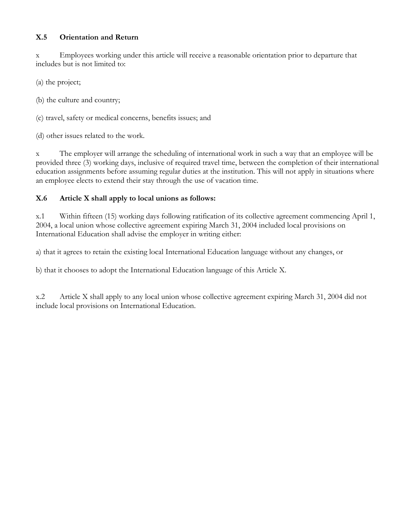## **X.5 Orientation and Return**

x Employees working under this article will receive a reasonable orientation prior to departure that includes but is not limited to:

(a) the project;

(b) the culture and country;

(c) travel, safety or medical concerns, benefits issues; and

(d) other issues related to the work.

x The employer will arrange the scheduling of international work in such a way that an employee will be provided three (3) working days, inclusive of required travel time, between the completion of their international education assignments before assuming regular duties at the institution. This will not apply in situations where an employee elects to extend their stay through the use of vacation time.

## **X.6 Article X shall apply to local unions as follows:**

x.1 Within fifteen (15) working days following ratification of its collective agreement commencing April 1, 2004, a local union whose collective agreement expiring March 31, 2004 included local provisions on International Education shall advise the employer in writing either:

a) that it agrees to retain the existing local International Education language without any changes, or

b) that it chooses to adopt the International Education language of this Article X.

x.2 Article X shall apply to any local union whose collective agreement expiring March 31, 2004 did not include local provisions on International Education.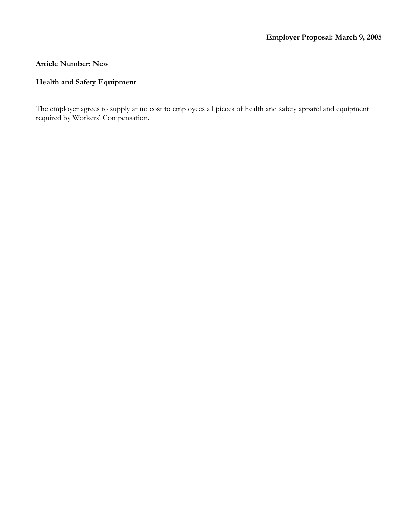## **Article Number: New**

# **Health and Safety Equipment**

The employer agrees to supply at no cost to employees all pieces of health and safety apparel and equipment required by Workers' Compensation.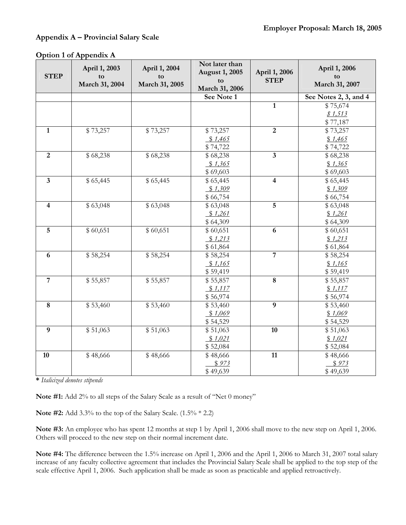#### **Appendix A – Provincial Salary Scale**

| <b>STEP</b>             | April 1, 2003<br>to<br>March 31, 2004 | April 1, 2004<br>to<br>March 31, 2005 | Not later than<br><b>August 1, 2005</b><br>to<br>March 31, 2006 | April 1, 2006<br><b>STEP</b> | April 1, 2006<br>to<br>March 31, 2007 |
|-------------------------|---------------------------------------|---------------------------------------|-----------------------------------------------------------------|------------------------------|---------------------------------------|
|                         |                                       |                                       | See Note 1                                                      |                              | See Notes 2, 3, and 4                 |
|                         |                                       |                                       |                                                                 | $\mathbf{1}$                 | \$75,674                              |
|                         |                                       |                                       |                                                                 |                              | \$1,513                               |
|                         |                                       |                                       |                                                                 |                              | \$77,187                              |
| $\mathbf{1}$            | \$73,257                              | \$73,257                              | \$73,257                                                        | $\overline{2}$               | \$73,257                              |
|                         |                                       |                                       | \$1,465                                                         |                              | \$1,465                               |
|                         |                                       |                                       | \$74,722                                                        |                              | \$74,722                              |
| $\overline{2}$          | \$68,238                              | \$68,238                              | \$68,238                                                        | $\overline{\mathbf{3}}$      | \$68,238                              |
|                         |                                       |                                       | \$1,365                                                         |                              | \$1,365                               |
|                         |                                       |                                       | \$69,603                                                        |                              | \$69,603                              |
| $\mathbf{3}$            | \$65,445                              | \$65,445                              | \$65,445                                                        | 4                            | \$65,445                              |
|                         |                                       |                                       | \$1,309                                                         |                              | \$1,309                               |
|                         |                                       |                                       | \$66,754                                                        |                              | \$66,754                              |
| $\overline{\mathbf{4}}$ | \$63,048                              | \$63,048                              | \$63,048                                                        | 5                            | \$63,048                              |
|                         |                                       |                                       | \$1,261                                                         |                              | \$1,261                               |
|                         |                                       |                                       | \$64,309                                                        |                              | \$64,309                              |
| $\overline{5}$          | \$60,651                              | \$60,651                              | \$60,651                                                        | 6                            | \$60,651                              |
|                         |                                       |                                       | \$1,213                                                         |                              | \$1,213                               |
|                         |                                       |                                       | \$61,864                                                        |                              | \$61,864                              |
| $\boldsymbol{6}$        | \$58,254                              | \$58,254                              | \$58,254                                                        | $\overline{7}$               | \$58,254                              |
|                         |                                       |                                       | \$1,165                                                         |                              | \$1,165                               |
|                         |                                       |                                       | \$59,419                                                        |                              | \$59,419                              |
| $\overline{7}$          | \$55,857                              | \$55,857                              | \$55,857                                                        | $\overline{\mathbf{8}}$      | \$55,857                              |
|                         |                                       |                                       | \$1,117                                                         |                              | \$1,117                               |
|                         |                                       |                                       | \$56,974                                                        |                              | \$56,974                              |
| $\bf 8$                 | \$53,460                              | \$53,460                              | \$53,460                                                        | $\boldsymbol{9}$             | \$53,460                              |
|                         |                                       |                                       | \$1,069                                                         |                              | \$1,069                               |
|                         |                                       |                                       | \$54,529                                                        |                              | \$54,529                              |
| $\boldsymbol{9}$        | \$51,063                              | \$51,063                              | \$51,063                                                        | 10                           | \$51,063                              |
|                         |                                       |                                       | \$1,021                                                         |                              | \$1,021                               |
|                         |                                       |                                       | \$52,084                                                        |                              | \$52,084                              |
| 10                      | \$48,666                              | \$48,666                              | \$48,666                                                        | 11                           | \$48,666                              |
|                         |                                       |                                       | \$973                                                           |                              | \$973                                 |
|                         |                                       |                                       | \$49,639                                                        |                              | \$49,639                              |

**\*** *Italicized denotes stipends* 

**Note #1:** Add 2% to all steps of the Salary Scale as a result of "Net 0 money"

**Note #2:** Add 3.3% to the top of the Salary Scale. (1.5% \* 2.2)

**Note #3:** An employee who has spent 12 months at step 1 by April 1, 2006 shall move to the new step on April 1, 2006. Others will proceed to the new step on their normal increment date.

**Note #4:** The difference between the 1.5% increase on April 1, 2006 and the April 1, 2006 to March 31, 2007 total salary increase of any faculty collective agreement that includes the Provincial Salary Scale shall be applied to the top step of the scale effective April 1, 2006. Such application shall be made as soon as practicable and applied retroactively.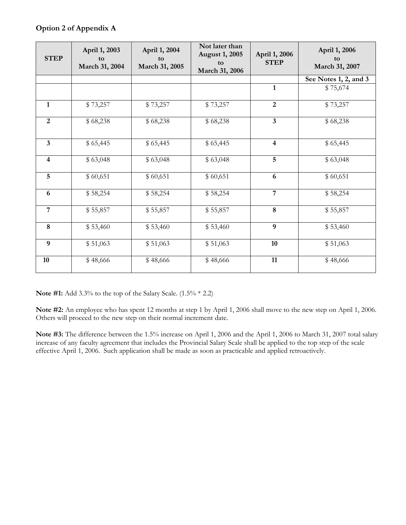## **Option 2 of Appendix A**

| <b>STEP</b>             | April 1, 2003<br>tο<br>March 31, 2004 | April 1, 2004<br>to<br>March 31, 2005 | Not later than<br><b>August 1, 2005</b><br>to<br>March 31, 2006 | April 1, 2006<br><b>STEP</b> | April 1, 2006<br>to<br>March 31, 2007 |
|-------------------------|---------------------------------------|---------------------------------------|-----------------------------------------------------------------|------------------------------|---------------------------------------|
|                         |                                       |                                       |                                                                 |                              | See Notes 1, 2, and 3                 |
|                         |                                       |                                       |                                                                 | $\mathbf{1}$                 | \$75,674                              |
| $\mathbf{1}$            | \$73,257                              | \$73,257                              | \$73,257                                                        | $\overline{2}$               | \$73,257                              |
| $\overline{2}$          | \$68,238                              | \$68,238                              | \$68,238                                                        | $\mathbf{3}$                 | \$68,238                              |
| $\overline{\mathbf{3}}$ | \$65,445                              | \$65,445                              | \$65,445                                                        | $\overline{4}$               | \$65,445                              |
| $\overline{\mathbf{4}}$ | \$63,048                              | \$63,048                              | \$63,048                                                        | 5                            | \$63,048                              |
| $5\overline{)}$         | \$60,651                              | \$60,651                              | \$60,651                                                        | 6                            | \$60,651                              |
| 6                       | \$58,254                              | \$58,254                              | \$58,254                                                        | $\overline{7}$               | \$58,254                              |
| $\overline{7}$          | \$55,857                              | \$55,857                              | \$55,857                                                        | $\boldsymbol{8}$             | \$55,857                              |
| 8                       | \$53,460                              | \$53,460                              | \$53,460                                                        | $\boldsymbol{9}$             | \$53,460                              |
| 9                       | \$51,063                              | \$51,063                              | \$51,063                                                        | 10                           | \$51,063                              |
| 10                      | \$48,666                              | \$48,666                              | \$48,666                                                        | 11                           | \$48,666                              |

**Note #1:** Add 3.3% to the top of the Salary Scale. (1.5% \* 2.2)

**Note #2:** An employee who has spent 12 months at step 1 by April 1, 2006 shall move to the new step on April 1, 2006. Others will proceed to the new step on their normal increment date.

**Note #3:** The difference between the 1.5% increase on April 1, 2006 and the April 1, 2006 to March 31, 2007 total salary increase of any faculty agreement that includes the Provincial Salary Scale shall be applied to the top step of the scale effective April 1, 2006. Such application shall be made as soon as practicable and applied retroactively.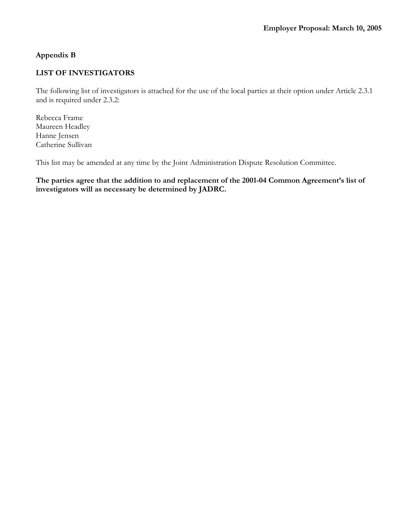## **Appendix B**

## **LIST OF INVESTIGATORS**

The following list of investigators is attached for the use of the local parties at their option under Article 2.3.1 and is required under 2.3.2:

Rebecca Frame Maureen Headley Hanne Jensen Catherine Sullivan

This list may be amended at any time by the Joint Administration Dispute Resolution Committee.

**The parties agree that the addition to and replacement of the 2001-04 Common Agreement's list of investigators will as necessary be determined by JADRC.**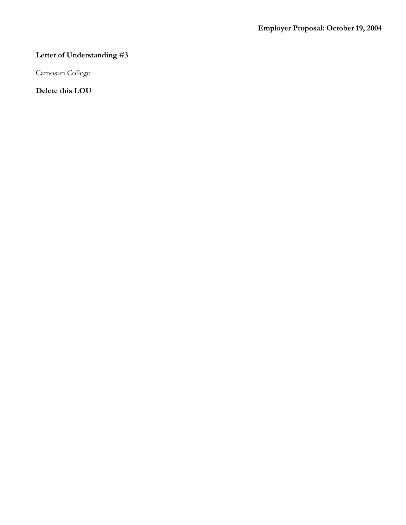# **Letter of Understanding #3**

Camosun College

**Delete this LOU**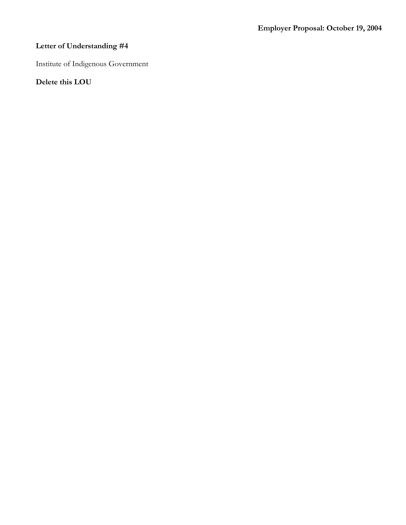# **Letter of Understanding #4**

Institute of Indigenous Government

**Delete this LOU**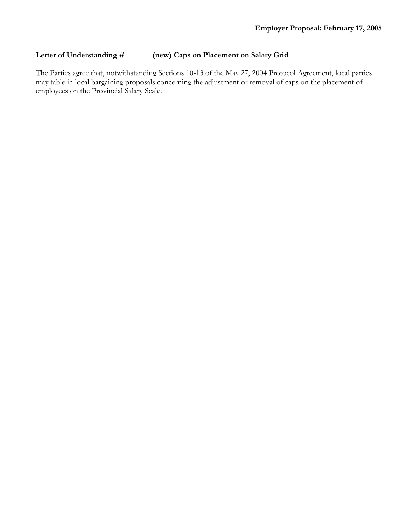# **Letter of Understanding # \_\_\_\_\_\_ (new) Caps on Placement on Salary Grid**

The Parties agree that, notwithstanding Sections 10-13 of the May 27, 2004 Protocol Agreement, local parties may table in local bargaining proposals concerning the adjustment or removal of caps on the placement of employees on the Provincial Salary Scale.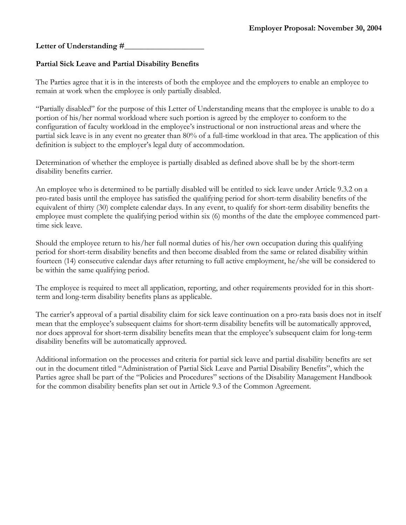## Letter of Understanding #

## **Partial Sick Leave and Partial Disability Benefits**

The Parties agree that it is in the interests of both the employee and the employers to enable an employee to remain at work when the employee is only partially disabled.

"Partially disabled" for the purpose of this Letter of Understanding means that the employee is unable to do a portion of his/her normal workload where such portion is agreed by the employer to conform to the configuration of faculty workload in the employee's instructional or non instructional areas and where the partial sick leave is in any event no greater than 80% of a full-time workload in that area. The application of this definition is subject to the employer's legal duty of accommodation.

Determination of whether the employee is partially disabled as defined above shall be by the short-term disability benefits carrier.

An employee who is determined to be partially disabled will be entitled to sick leave under Article 9.3.2 on a pro-rated basis until the employee has satisfied the qualifying period for short-term disability benefits of the equivalent of thirty (30) complete calendar days. In any event, to qualify for short-term disability benefits the employee must complete the qualifying period within six (6) months of the date the employee commenced parttime sick leave.

Should the employee return to his/her full normal duties of his/her own occupation during this qualifying period for short-term disability benefits and then become disabled from the same or related disability within fourteen (14) consecutive calendar days after returning to full active employment, he/she will be considered to be within the same qualifying period.

The employee is required to meet all application, reporting, and other requirements provided for in this shortterm and long-term disability benefits plans as applicable.

The carrier's approval of a partial disability claim for sick leave continuation on a pro-rata basis does not in itself mean that the employee's subsequent claims for short-term disability benefits will be automatically approved, nor does approval for short-term disability benefits mean that the employee's subsequent claim for long-term disability benefits will be automatically approved.

Additional information on the processes and criteria for partial sick leave and partial disability benefits are set out in the document titled "Administration of Partial Sick Leave and Partial Disability Benefits", which the Parties agree shall be part of the "Policies and Procedures" sections of the Disability Management Handbook for the common disability benefits plan set out in Article 9.3 of the Common Agreement.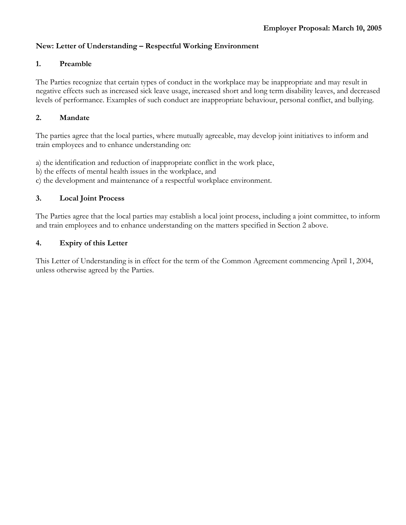## **New: Letter of Understanding – Respectful Working Environment**

#### **1. Preamble**

The Parties recognize that certain types of conduct in the workplace may be inappropriate and may result in negative effects such as increased sick leave usage, increased short and long term disability leaves, and decreased levels of performance. Examples of such conduct are inappropriate behaviour, personal conflict, and bullying.

#### **2. Mandate**

The parties agree that the local parties, where mutually agreeable, may develop joint initiatives to inform and train employees and to enhance understanding on:

- a) the identification and reduction of inappropriate conflict in the work place,
- b) the effects of mental health issues in the workplace, and
- c) the development and maintenance of a respectful workplace environment.

### **3. Local Joint Process**

The Parties agree that the local parties may establish a local joint process, including a joint committee, to inform and train employees and to enhance understanding on the matters specified in Section 2 above.

#### **4. Expiry of this Letter**

This Letter of Understanding is in effect for the term of the Common Agreement commencing April 1, 2004, unless otherwise agreed by the Parties.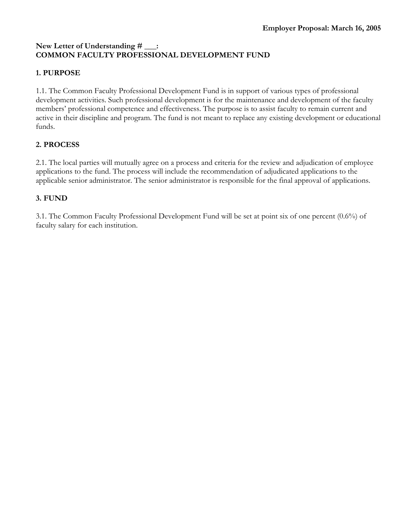# **New Letter of Understanding # \_\_\_: COMMON FACULTY PROFESSIONAL DEVELOPMENT FUND**

# **1. PURPOSE**

1.1. The Common Faculty Professional Development Fund is in support of various types of professional development activities. Such professional development is for the maintenance and development of the faculty members' professional competence and effectiveness. The purpose is to assist faculty to remain current and active in their discipline and program. The fund is not meant to replace any existing development or educational funds.

## **2. PROCESS**

2.1. The local parties will mutually agree on a process and criteria for the review and adjudication of employee applications to the fund. The process will include the recommendation of adjudicated applications to the applicable senior administrator. The senior administrator is responsible for the final approval of applications.

# **3. FUND**

3.1. The Common Faculty Professional Development Fund will be set at point six of one percent (0.6%) of faculty salary for each institution.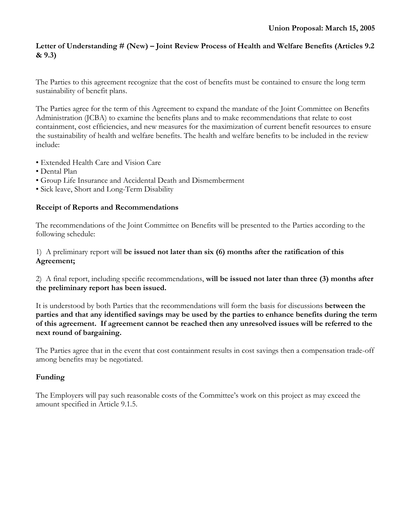## **Letter of Understanding # (New) – Joint Review Process of Health and Welfare Benefits (Articles 9.2 & 9.3)**

The Parties to this agreement recognize that the cost of benefits must be contained to ensure the long term sustainability of benefit plans.

The Parties agree for the term of this Agreement to expand the mandate of the Joint Committee on Benefits Administration (JCBA) to examine the benefits plans and to make recommendations that relate to cost containment, cost efficiencies, and new measures for the maximization of current benefit resources to ensure the sustainability of health and welfare benefits. The health and welfare benefits to be included in the review include:

- Extended Health Care and Vision Care
- Dental Plan
- Group Life Insurance and Accidental Death and Dismemberment
- Sick leave, Short and Long-Term Disability

## **Receipt of Reports and Recommendations**

The recommendations of the Joint Committee on Benefits will be presented to the Parties according to the following schedule:

## 1) A preliminary report will **be issued not later than six (6) months after the ratification of this Agreement;**

2) A final report, including specific recommendations, **will be issued not later than three (3) months after the preliminary report has been issued.** 

It is understood by both Parties that the recommendations will form the basis for discussions **between the parties and that any identified savings may be used by the parties to enhance benefits during the term of this agreement. If agreement cannot be reached then any unresolved issues will be referred to the next round of bargaining.** 

The Parties agree that in the event that cost containment results in cost savings then a compensation trade-off among benefits may be negotiated.

## **Funding**

The Employers will pay such reasonable costs of the Committee's work on this project as may exceed the amount specified in Article 9.1.5.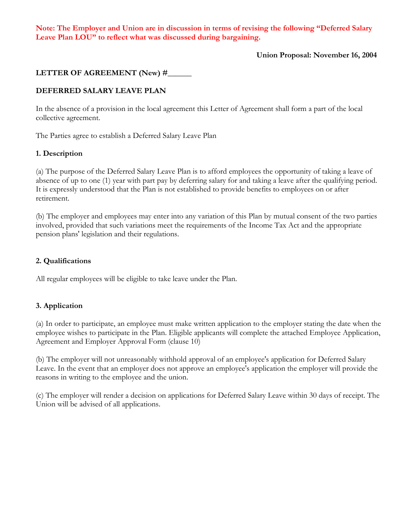**Note: The Employer and Union are in discussion in terms of revising the following "Deferred Salary Leave Plan LOU" to reflect what was discussed during bargaining.** 

 **Union Proposal: November 16, 2004**

## LETTER OF AGREEMENT (New) #

## **DEFERRED SALARY LEAVE PLAN**

In the absence of a provision in the local agreement this Letter of Agreement shall form a part of the local collective agreement.

The Parties agree to establish a Deferred Salary Leave Plan

#### **1. Description**

(a) The purpose of the Deferred Salary Leave Plan is to afford employees the opportunity of taking a leave of absence of up to one (1) year with part pay by deferring salary for and taking a leave after the qualifying period. It is expressly understood that the Plan is not established to provide benefits to employees on or after retirement.

(b) The employer and employees may enter into any variation of this Plan by mutual consent of the two parties involved, provided that such variations meet the requirements of the Income Tax Act and the appropriate pension plans' legislation and their regulations.

#### **2. Qualifications**

All regular employees will be eligible to take leave under the Plan.

### **3. Application**

(a) In order to participate, an employee must make written application to the employer stating the date when the employee wishes to participate in the Plan. Eligible applicants will complete the attached Employee Application, Agreement and Employer Approval Form (clause 10)

(b) The employer will not unreasonably withhold approval of an employee's application for Deferred Salary Leave. In the event that an employer does not approve an employee's application the employer will provide the reasons in writing to the employee and the union.

(c) The employer will render a decision on applications for Deferred Salary Leave within 30 days of receipt. The Union will be advised of all applications.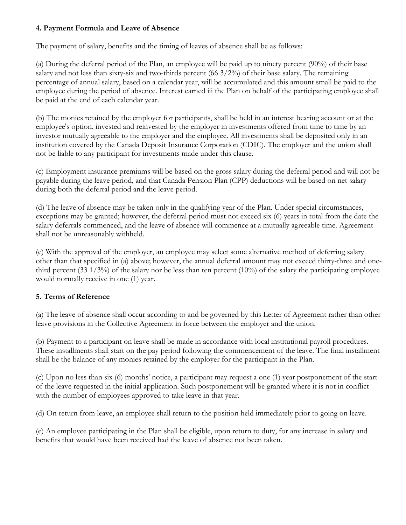## **4. Payment Formula and Leave of Absence**

The payment of salary, benefits and the timing of leaves of absence shall be as follows:

(a) During the deferral period of the Plan, an employee will be paid up to ninety percent (90%) of their base salary and not less than sixty-six and two-thirds percent (66 3/2%) of their base salary. The remaining percentage of annual salary, based on a calendar year, will be accumulated and this amount small be paid to the employee during the period of absence. Interest earned iii the Plan on behalf of the participating employee shall be paid at the end of each calendar year.

(b) The monies retained by the employer for participants, shall be held in an interest bearing account or at the employee's option, invested and reinvested by the employer in investments offered from time to time by an investor mutually agreeable to the employer and the employee. All investments shall be deposited only in an institution covered by the Canada Deposit Insurance Corporation (CDIC). The employer and the union shall not be liable to any participant for investments made under this clause.

(c) Employment insurance premiums will be based on the gross salary during the deferral period and will not be payable during the leave period, and that Canada Pension Plan (CPP) deductions will be based on net salary during both the deferral period and the leave period.

(d) The leave of absence may be taken only in the qualifying year of the Plan. Under special circumstances, exceptions may be granted; however, the deferral period must not exceed six (6) years in total from the date the salary deferrals commenced, and the leave of absence will commence at a mutually agreeable time. Agreement shall not be unreasonably withheld.

(e) With the approval of the employer, an employee may select some alternative method of deferring salary other than that specified in (a) above; however, the annual deferral amount may not exceed thirty-three and onethird percent (33  $1/3\%$ ) of the salary nor be less than ten percent (10%) of the salary the participating employee would normally receive in one (1) year.

## **5. Terms of Reference**

(a) The leave of absence shall occur according to and be governed by this Letter of Agreement rather than other leave provisions in the Collective Agreement in force between the employer and the union.

(b) Payment to a participant on leave shall be made in accordance with local institutional payroll procedures. These installments shall start on the pay period following the commencement of the leave. The final installment shall be the balance of any monies retained by the employer for the participant in the Plan.

(c) Upon no less than six (6) months' notice, a participant may request a one (1) year postponement of the start of the leave requested in the initial application. Such postponement will be granted where it is not in conflict with the number of employees approved to take leave in that year.

(d) On return from leave, an employee shall return to the position held immediately prior to going on leave.

(e) An employee participating in the Plan shall be eligible, upon return to duty, for any increase in salary and benefits that would have been received had the leave of absence not been taken.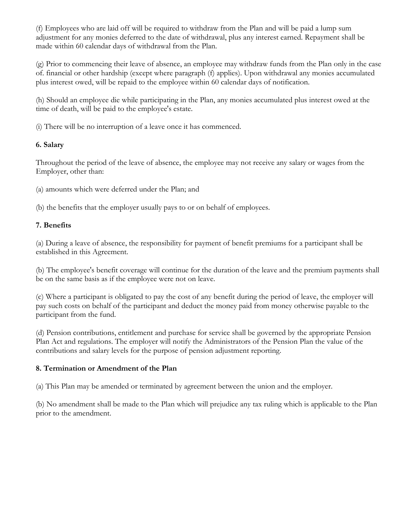(f) Employees who are laid off will be required to withdraw from the Plan and will be paid a lump sum adjustment for any monies deferred to the date of withdrawal, plus any interest earned. Repayment shall be made within 60 calendar days of withdrawal from the Plan.

(g) Prior to commencing their leave of absence, an employee may withdraw funds from the Plan only in the case of. financial or other hardship (except where paragraph (f) applies). Upon withdrawal any monies accumulated plus interest owed, will be repaid to the employee within 60 calendar days of notification.

(h) Should an employee die while participating in the Plan, any monies accumulated plus interest owed at the time of death, will be paid to the employee's estate.

(i) There will be no interruption of a leave once it has commenced.

# **6. Salary**

Throughout the period of the leave of absence, the employee may not receive any salary or wages from the Employer, other than:

(a) amounts which were deferred under the Plan; and

(b) the benefits that the employer usually pays to or on behalf of employees.

# **7. Benefits**

(a) During a leave of absence, the responsibility for payment of benefit premiums for a participant shall be established in this Agreement.

(b) The employee's benefit coverage will continue for the duration of the leave and the premium payments shall be on the same basis as if the employee were not on leave.

(c) Where a participant is obligated to pay the cost of any benefit during the period of leave, the employer will pay such costs on behalf of the participant and deduct the money paid from money otherwise payable to the participant from the fund.

(d) Pension contributions, entitlement and purchase for service shall be governed by the appropriate Pension Plan Act and regulations. The employer will notify the Administrators of the Pension Plan the value of the contributions and salary levels for the purpose of pension adjustment reporting.

# **8. Termination or Amendment of the Plan**

(a) This Plan may be amended or terminated by agreement between the union and the employer.

(b) No amendment shall be made to the Plan which will prejudice any tax ruling which is applicable to the Plan prior to the amendment.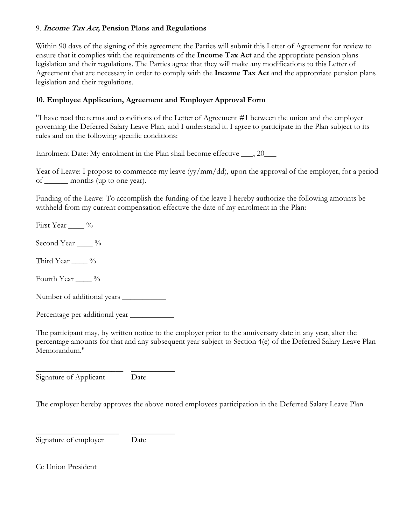## 9. **Income Tax Act, Pension Plans and Regulations**

Within 90 days of the signing of this agreement the Parties will submit this Letter of Agreement for review to ensure that it complies with the requirements of the **Income Tax Act** and the appropriate pension plans legislation and their regulations. The Parties agree that they will make any modifications to this Letter of Agreement that are necessary in order to comply with the **Income Tax Act** and the appropriate pension plans legislation and their regulations.

# **10. Employee Application, Agreement and Employer Approval Form**

"I have read the terms and conditions of the Letter of Agreement #1 between the union and the employer governing the Deferred Salary Leave Plan, and I understand it. I agree to participate in the Plan subject to its rules and on the following specific conditions:

Enrolment Date: My enrolment in the Plan shall become effective 20

Year of Leave: I propose to commence my leave (yy/mm/dd), upon the approval of the employer, for a period of \_\_\_\_\_\_ months (up to one year).

Funding of the Leave: To accomplish the funding of the leave I hereby authorize the following amounts be withheld from my current compensation effective the date of my enrolment in the Plan:

First Year \_\_\_\_ %

Second Year \_\_\_\_\_ %

Third Year \_\_\_\_ %

Fourth Year  $\_\_\_\$ %

Number of additional years \_\_\_\_\_\_\_\_\_\_\_

Percentage per additional year \_\_\_\_\_\_\_\_\_\_\_

The participant may, by written notice to the employer prior to the anniversary date in any year, alter the percentage amounts for that and any subsequent year subject to Section 4(e) of the Deferred Salary Leave Plan Memorandum."

\_\_\_\_\_\_\_\_\_\_\_\_\_\_\_\_\_\_\_\_\_\_ \_\_\_\_\_\_\_\_\_\_\_ Signature of Applicant Date

The employer hereby approves the above noted employees participation in the Deferred Salary Leave Plan

Signature of employer Date

\_\_\_\_\_\_\_\_\_\_\_\_\_\_\_\_\_\_\_\_\_ \_\_\_\_\_\_\_\_\_\_\_

Cc Union President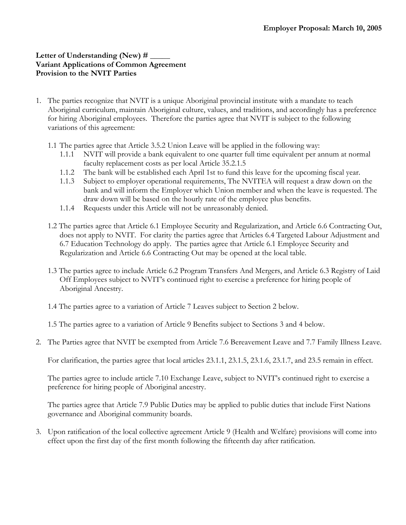## Letter of Understanding (New) # **Variant Applications of Common Agreement Provision to the NVIT Parties**

- 1. The parties recognize that NVIT is a unique Aboriginal provincial institute with a mandate to teach Aboriginal curriculum, maintain Aboriginal culture, values, and traditions, and accordingly has a preference for hiring Aboriginal employees. Therefore the parties agree that NVIT is subject to the following variations of this agreement:
	- 1.1 The parties agree that Article 3.5.2 Union Leave will be applied in the following way:
		- 1.1.1 NVIT will provide a bank equivalent to one quarter full time equivalent per annum at normal faculty replacement costs as per local Article 35.2.1.5
		- 1.1.2 The bank will be established each April 1st to fund this leave for the upcoming fiscal year.
		- 1.1.3 Subject to employer operational requirements, The NVITEA will request a draw down on the bank and will inform the Employer which Union member and when the leave is requested. The draw down will be based on the hourly rate of the employee plus benefits.
		- 1.1.4 Requests under this Article will not be unreasonably denied.
	- 1.2 The parties agree that Article 6.1 Employee Security and Regularization, and Article 6.6 Contracting Out, does not apply to NVIT. For clarity the parties agree that Articles 6.4 Targeted Labour Adjustment and 6.7 Education Technology do apply. The parties agree that Article 6.1 Employee Security and Regularization and Article 6.6 Contracting Out may be opened at the local table.
	- 1.3 The parties agree to include Article 6.2 Program Transfers And Mergers, and Article 6.3 Registry of Laid Off Employees subject to NVIT's continued right to exercise a preference for hiring people of Aboriginal Ancestry.
	- 1.4 The parties agree to a variation of Article 7 Leaves subject to Section 2 below.

1.5 The parties agree to a variation of Article 9 Benefits subject to Sections 3 and 4 below.

2. The Parties agree that NVIT be exempted from Article 7.6 Bereavement Leave and 7.7 Family Illness Leave.

For clarification, the parties agree that local articles 23.1.1, 23.1.5, 23.1.6, 23.1.7, and 23.5 remain in effect.

The parties agree to include article 7.10 Exchange Leave, subject to NVIT's continued right to exercise a preference for hiring people of Aboriginal ancestry.

The parties agree that Article 7.9 Public Duties may be applied to public duties that include First Nations governance and Aboriginal community boards.

3. Upon ratification of the local collective agreement Article 9 (Health and Welfare) provisions will come into effect upon the first day of the first month following the fifteenth day after ratification.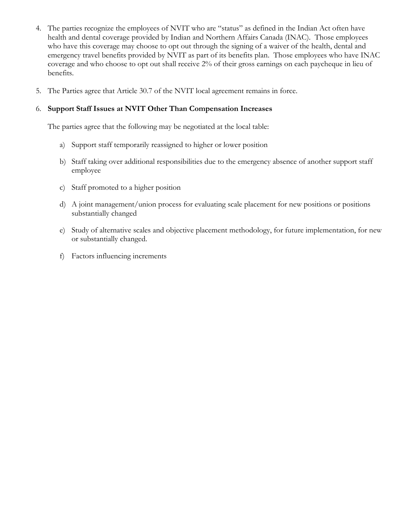- 4. The parties recognize the employees of NVIT who are "status" as defined in the Indian Act often have health and dental coverage provided by Indian and Northern Affairs Canada (INAC). Those employees who have this coverage may choose to opt out through the signing of a waiver of the health, dental and emergency travel benefits provided by NVIT as part of its benefits plan. Those employees who have INAC coverage and who choose to opt out shall receive 2% of their gross earnings on each paycheque in lieu of benefits.
- 5. The Parties agree that Article 30.7 of the NVIT local agreement remains in force.

## 6. **Support Staff Issues at NVIT Other Than Compensation Increases**

The parties agree that the following may be negotiated at the local table:

- a) Support staff temporarily reassigned to higher or lower position
- b) Staff taking over additional responsibilities due to the emergency absence of another support staff employee
- c) Staff promoted to a higher position
- d) A joint management/union process for evaluating scale placement for new positions or positions substantially changed
- e) Study of alternative scales and objective placement methodology, for future implementation, for new or substantially changed.
- f) Factors influencing increments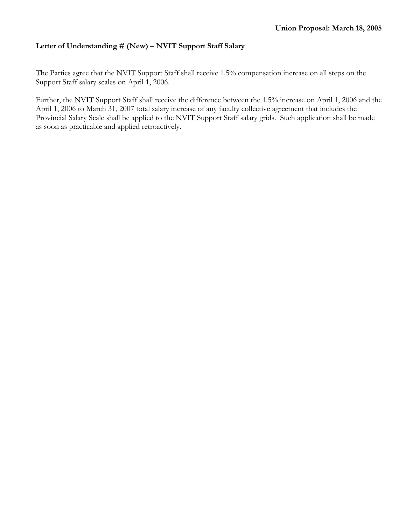## **Letter of Understanding # (New) – NVIT Support Staff Salary**

The Parties agree that the NVIT Support Staff shall receive 1.5% compensation increase on all steps on the Support Staff salary scales on April 1, 2006.

Further, the NVIT Support Staff shall receive the difference between the 1.5% increase on April 1, 2006 and the April 1, 2006 to March 31, 2007 total salary increase of any faculty collective agreement that includes the Provincial Salary Scale shall be applied to the NVIT Support Staff salary grids. Such application shall be made as soon as practicable and applied retroactively.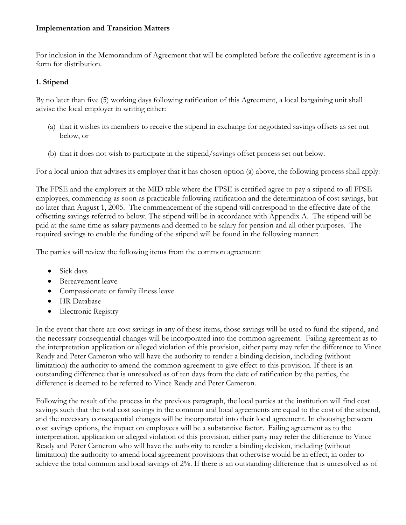## **Implementation and Transition Matters**

For inclusion in the Memorandum of Agreement that will be completed before the collective agreement is in a form for distribution.

## **1. Stipend**

By no later than five (5) working days following ratification of this Agreement, a local bargaining unit shall advise the local employer in writing either:

- (a) that it wishes its members to receive the stipend in exchange for negotiated savings offsets as set out below, or
- (b) that it does not wish to participate in the stipend/savings offset process set out below.

For a local union that advises its employer that it has chosen option (a) above, the following process shall apply:

The FPSE and the employers at the MID table where the FPSE is certified agree to pay a stipend to all FPSE employees, commencing as soon as practicable following ratification and the determination of cost savings, but no later than August 1, 2005. The commencement of the stipend will correspond to the effective date of the offsetting savings referred to below. The stipend will be in accordance with Appendix A. The stipend will be paid at the same time as salary payments and deemed to be salary for pension and all other purposes. The required savings to enable the funding of the stipend will be found in the following manner:

The parties will review the following items from the common agreement:

- Sick days
- Bereavement leave
- Compassionate or family illness leave
- HR Database
- Electronic Registry

In the event that there are cost savings in any of these items, those savings will be used to fund the stipend, and the necessary consequential changes will be incorporated into the common agreement. Failing agreement as to the interpretation application or alleged violation of this provision, either party may refer the difference to Vince Ready and Peter Cameron who will have the authority to render a binding decision, including (without limitation) the authority to amend the common agreement to give effect to this provision. If there is an outstanding difference that is unresolved as of ten days from the date of ratification by the parties, the difference is deemed to be referred to Vince Ready and Peter Cameron.

Following the result of the process in the previous paragraph, the local parties at the institution will find cost savings such that the total cost savings in the common and local agreements are equal to the cost of the stipend, and the necessary consequential changes will be incorporated into their local agreement. In choosing between cost savings options, the impact on employees will be a substantive factor. Failing agreement as to the interpretation, application or alleged violation of this provision, either party may refer the difference to Vince Ready and Peter Cameron who will have the authority to render a binding decision, including (without limitation) the authority to amend local agreement provisions that otherwise would be in effect, in order to achieve the total common and local savings of 2%. If there is an outstanding difference that is unresolved as of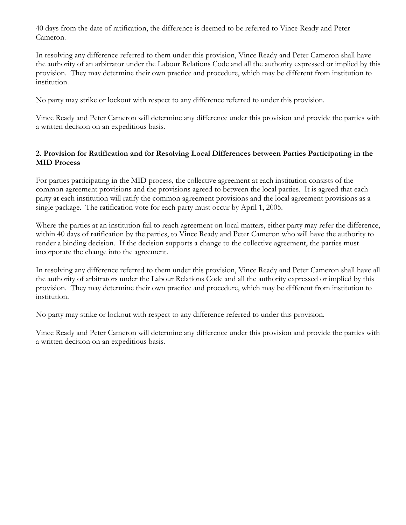40 days from the date of ratification, the difference is deemed to be referred to Vince Ready and Peter Cameron.

In resolving any difference referred to them under this provision, Vince Ready and Peter Cameron shall have the authority of an arbitrator under the Labour Relations Code and all the authority expressed or implied by this provision. They may determine their own practice and procedure, which may be different from institution to institution.

No party may strike or lockout with respect to any difference referred to under this provision.

Vince Ready and Peter Cameron will determine any difference under this provision and provide the parties with a written decision on an expeditious basis.

## **2. Provision for Ratification and for Resolving Local Differences between Parties Participating in the MID Process**

For parties participating in the MID process, the collective agreement at each institution consists of the common agreement provisions and the provisions agreed to between the local parties. It is agreed that each party at each institution will ratify the common agreement provisions and the local agreement provisions as a single package. The ratification vote for each party must occur by April 1, 2005.

Where the parties at an institution fail to reach agreement on local matters, either party may refer the difference, within 40 days of ratification by the parties, to Vince Ready and Peter Cameron who will have the authority to render a binding decision. If the decision supports a change to the collective agreement, the parties must incorporate the change into the agreement.

In resolving any difference referred to them under this provision, Vince Ready and Peter Cameron shall have all the authority of arbitrators under the Labour Relations Code and all the authority expressed or implied by this provision. They may determine their own practice and procedure, which may be different from institution to institution.

No party may strike or lockout with respect to any difference referred to under this provision.

Vince Ready and Peter Cameron will determine any difference under this provision and provide the parties with a written decision on an expeditious basis.